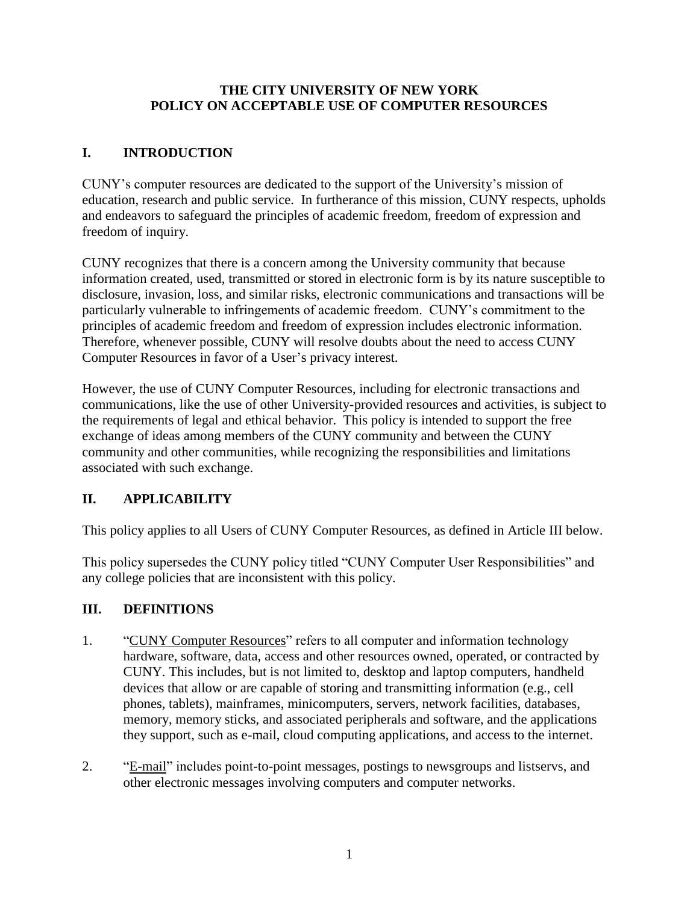### **THE CITY UNIVERSITY OF NEW YORK POLICY ON ACCEPTABLE USE OF COMPUTER RESOURCES**

# **I. INTRODUCTION**

CUNY's computer resources are dedicated to the support of the University's mission of education, research and public service. In furtherance of this mission, CUNY respects, upholds and endeavors to safeguard the principles of academic freedom, freedom of expression and freedom of inquiry.

CUNY recognizes that there is a concern among the University community that because information created, used, transmitted or stored in electronic form is by its nature susceptible to disclosure, invasion, loss, and similar risks, electronic communications and transactions will be particularly vulnerable to infringements of academic freedom. CUNY's commitment to the principles of academic freedom and freedom of expression includes electronic information. Therefore, whenever possible, CUNY will resolve doubts about the need to access CUNY Computer Resources in favor of a User's privacy interest.

However, the use of CUNY Computer Resources, including for electronic transactions and communications, like the use of other University-provided resources and activities, is subject to the requirements of legal and ethical behavior. This policy is intended to support the free exchange of ideas among members of the CUNY community and between the CUNY community and other communities, while recognizing the responsibilities and limitations associated with such exchange.

## **II. APPLICABILITY**

This policy applies to all Users of CUNY Computer Resources, as defined in Article III below.

This policy supersedes the CUNY policy titled "CUNY Computer User Responsibilities" and any college policies that are inconsistent with this policy.

## **III. DEFINITIONS**

- 1. "CUNY Computer Resources" refers to all computer and information technology hardware, software, data, access and other resources owned, operated, or contracted by CUNY. This includes, but is not limited to, desktop and laptop computers, handheld devices that allow or are capable of storing and transmitting information (e.g., cell phones, tablets), mainframes, minicomputers, servers, network facilities, databases, memory, memory sticks, and associated peripherals and software, and the applications they support, such as e-mail, cloud computing applications, and access to the internet.
- 2. "E-mail" includes point-to-point messages, postings to newsgroups and listservs, and other electronic messages involving computers and computer networks.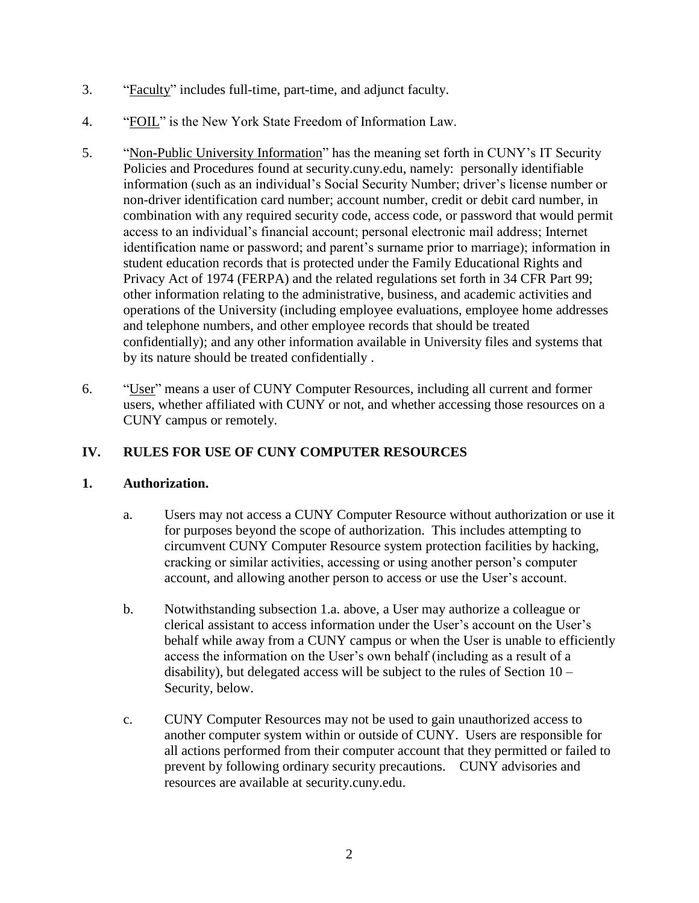- 3. "Faculty" includes full-time, part-time, and adjunct faculty.
- 4. "FOIL" is the New York State Freedom of Information Law.
- 5. "Non-Public University Information" has the meaning set forth in CUNY's IT Security Policies and Procedures found at security.cuny.edu, namely: personally identifiable information (such as an individual's Social Security Number; driver's license number or non-driver identification card number; account number, credit or debit card number, in combination with any required security code, access code, or password that would permit access to an individual's financial account; personal electronic mail address; Internet identification name or password; and parent's surname prior to marriage); information in student education records that is protected under the Family Educational Rights and Privacy Act of 1974 (FERPA) and the related regulations set forth in 34 CFR Part 99; other information relating to the administrative, business, and academic activities and operations of the University (including employee evaluations, employee home addresses and telephone numbers, and other employee records that should be treated confidentially); and any other information available in University files and systems that by its nature should be treated confidentially .
- 6. "User" means a user of CUNY Computer Resources, including all current and former users, whether affiliated with CUNY or not, and whether accessing those resources on a CUNY campus or remotely.

## **IV. RULES FOR USE OF CUNY COMPUTER RESOURCES**

### **1. Authorization.**

- a. Users may not access a CUNY Computer Resource without authorization or use it for purposes beyond the scope of authorization. This includes attempting to circumvent CUNY Computer Resource system protection facilities by hacking, cracking or similar activities, accessing or using another person's computer account, and allowing another person to access or use the User's account.
- b. Notwithstanding subsection 1.a. above, a User may authorize a colleague or clerical assistant to access information under the User's account on the User's behalf while away from a CUNY campus or when the User is unable to efficiently access the information on the User's own behalf (including as a result of a disability), but delegated access will be subject to the rules of Section  $10 -$ Security, below.
- c. CUNY Computer Resources may not be used to gain unauthorized access to another computer system within or outside of CUNY. Users are responsible for all actions performed from their computer account that they permitted or failed to prevent by following ordinary security precautions. CUNY advisories and resources are available at security.cuny.edu.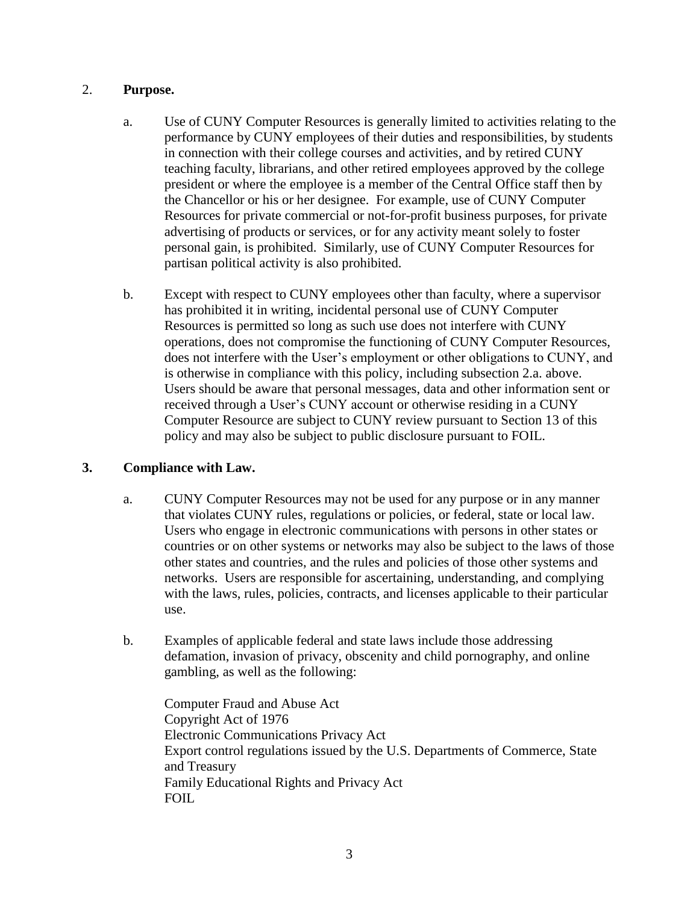#### 2. **Purpose.**

- a. Use of CUNY Computer Resources is generally limited to activities relating to the performance by CUNY employees of their duties and responsibilities, by students in connection with their college courses and activities, and by retired CUNY teaching faculty, librarians, and other retired employees approved by the college president or where the employee is a member of the Central Office staff then by the Chancellor or his or her designee. For example, use of CUNY Computer Resources for private commercial or not-for-profit business purposes, for private advertising of products or services, or for any activity meant solely to foster personal gain, is prohibited. Similarly, use of CUNY Computer Resources for partisan political activity is also prohibited.
- b. Except with respect to CUNY employees other than faculty, where a supervisor has prohibited it in writing, incidental personal use of CUNY Computer Resources is permitted so long as such use does not interfere with CUNY operations, does not compromise the functioning of CUNY Computer Resources, does not interfere with the User's employment or other obligations to CUNY, and is otherwise in compliance with this policy, including subsection 2.a. above. Users should be aware that personal messages, data and other information sent or received through a User's CUNY account or otherwise residing in a CUNY Computer Resource are subject to CUNY review pursuant to Section 13 of this policy and may also be subject to public disclosure pursuant to FOIL.

### **3. Compliance with Law.**

- a. CUNY Computer Resources may not be used for any purpose or in any manner that violates CUNY rules, regulations or policies, or federal, state or local law. Users who engage in electronic communications with persons in other states or countries or on other systems or networks may also be subject to the laws of those other states and countries, and the rules and policies of those other systems and networks. Users are responsible for ascertaining, understanding, and complying with the laws, rules, policies, contracts, and licenses applicable to their particular use.
- b. Examples of applicable federal and state laws include those addressing defamation, invasion of privacy, obscenity and child pornography, and online gambling, as well as the following:

Computer Fraud and Abuse Act Copyright Act of 1976 Electronic Communications Privacy Act Export control regulations issued by the U.S. Departments of Commerce, State and Treasury Family Educational Rights and Privacy Act FOIL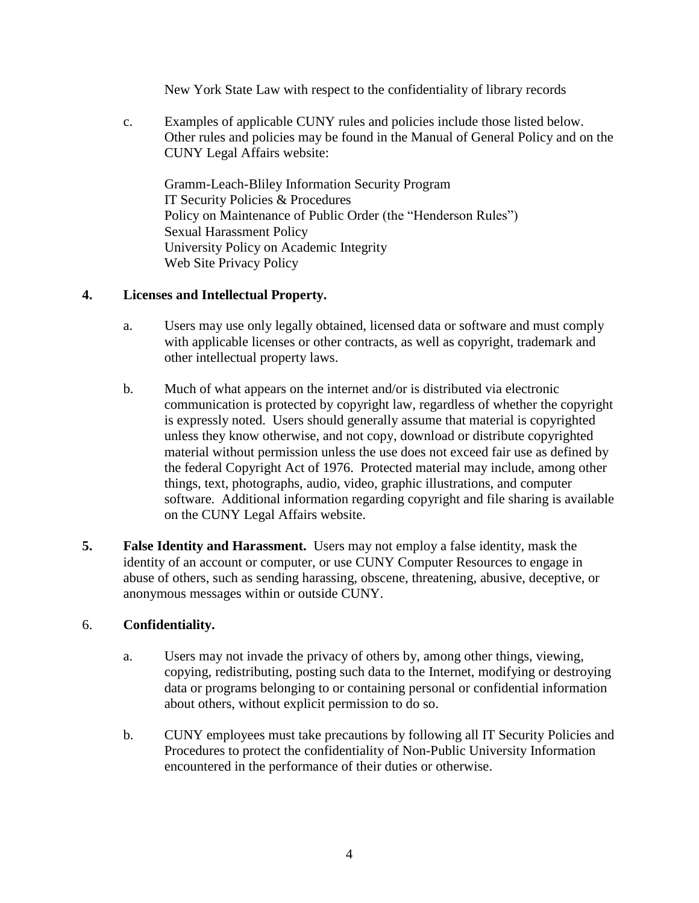New York State Law with respect to the confidentiality of library records

c. Examples of applicable CUNY rules and policies include those listed below. Other rules and policies may be found in the Manual of General Policy and on the CUNY Legal Affairs website:

Gramm-Leach-Bliley Information Security Program IT Security Policies & Procedures Policy on Maintenance of Public Order (the "Henderson Rules") Sexual Harassment Policy University Policy on Academic Integrity Web Site Privacy Policy

### **4. Licenses and Intellectual Property.**

- a. Users may use only legally obtained, licensed data or software and must comply with applicable licenses or other contracts, as well as copyright, trademark and other intellectual property laws.
- b. Much of what appears on the internet and/or is distributed via electronic communication is protected by copyright law, regardless of whether the copyright is expressly noted. Users should generally assume that material is copyrighted unless they know otherwise, and not copy, download or distribute copyrighted material without permission unless the use does not exceed fair use as defined by the federal Copyright Act of 1976. Protected material may include, among other things, text, photographs, audio, video, graphic illustrations, and computer software. Additional information regarding copyright and file sharing is available on the CUNY Legal Affairs website.
- **5. False Identity and Harassment.** Users may not employ a false identity, mask the identity of an account or computer, or use CUNY Computer Resources to engage in abuse of others, such as sending harassing, obscene, threatening, abusive, deceptive, or anonymous messages within or outside CUNY.

### 6. **Confidentiality.**

- a. Users may not invade the privacy of others by, among other things, viewing, copying, redistributing, posting such data to the Internet, modifying or destroying data or programs belonging to or containing personal or confidential information about others, without explicit permission to do so.
- b. CUNY employees must take precautions by following all IT Security Policies and Procedures to protect the confidentiality of Non-Public University Information encountered in the performance of their duties or otherwise.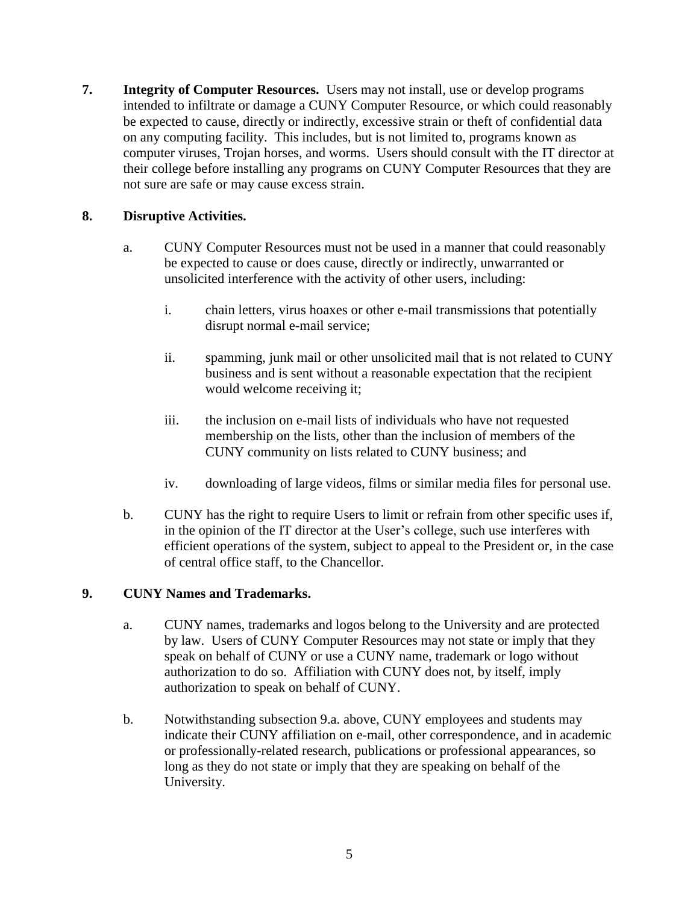**7. Integrity of Computer Resources.** Users may not install, use or develop programs intended to infiltrate or damage a CUNY Computer Resource, or which could reasonably be expected to cause, directly or indirectly, excessive strain or theft of confidential data on any computing facility. This includes, but is not limited to, programs known as computer viruses, Trojan horses, and worms. Users should consult with the IT director at their college before installing any programs on CUNY Computer Resources that they are not sure are safe or may cause excess strain.

### **8. Disruptive Activities.**

- a. CUNY Computer Resources must not be used in a manner that could reasonably be expected to cause or does cause, directly or indirectly, unwarranted or unsolicited interference with the activity of other users, including:
	- i. chain letters, virus hoaxes or other e-mail transmissions that potentially disrupt normal e-mail service;
	- ii. spamming, junk mail or other unsolicited mail that is not related to CUNY business and is sent without a reasonable expectation that the recipient would welcome receiving it;
	- iii. the inclusion on e-mail lists of individuals who have not requested membership on the lists, other than the inclusion of members of the CUNY community on lists related to CUNY business; and
	- iv. downloading of large videos, films or similar media files for personal use.
- b. CUNY has the right to require Users to limit or refrain from other specific uses if, in the opinion of the IT director at the User's college, such use interferes with efficient operations of the system, subject to appeal to the President or, in the case of central office staff, to the Chancellor.

### **9. CUNY Names and Trademarks.**

- a. CUNY names, trademarks and logos belong to the University and are protected by law. Users of CUNY Computer Resources may not state or imply that they speak on behalf of CUNY or use a CUNY name, trademark or logo without authorization to do so. Affiliation with CUNY does not, by itself, imply authorization to speak on behalf of CUNY.
- b. Notwithstanding subsection 9.a. above, CUNY employees and students may indicate their CUNY affiliation on e-mail, other correspondence, and in academic or professionally-related research, publications or professional appearances, so long as they do not state or imply that they are speaking on behalf of the University.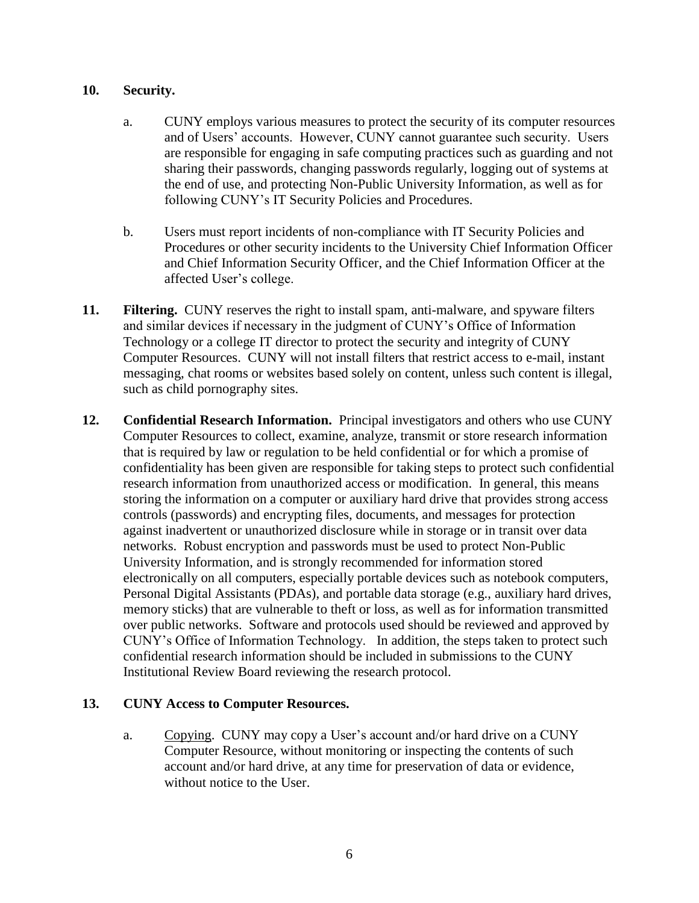#### **10. Security.**

- a. CUNY employs various measures to protect the security of its computer resources and of Users' accounts. However, CUNY cannot guarantee such security. Users are responsible for engaging in safe computing practices such as guarding and not sharing their passwords, changing passwords regularly, logging out of systems at the end of use, and protecting Non-Public University Information, as well as for following CUNY's IT Security Policies and Procedures.
- b. Users must report incidents of non-compliance with IT Security Policies and Procedures or other security incidents to the University Chief Information Officer and Chief Information Security Officer, and the Chief Information Officer at the affected User's college.
- **11. Filtering.** CUNY reserves the right to install spam, anti-malware, and spyware filters and similar devices if necessary in the judgment of CUNY's Office of Information Technology or a college IT director to protect the security and integrity of CUNY Computer Resources. CUNY will not install filters that restrict access to e-mail, instant messaging, chat rooms or websites based solely on content, unless such content is illegal, such as child pornography sites.
- **12. Confidential Research Information.** Principal investigators and others who use CUNY Computer Resources to collect, examine, analyze, transmit or store research information that is required by law or regulation to be held confidential or for which a promise of confidentiality has been given are responsible for taking steps to protect such confidential research information from unauthorized access or modification. In general, this means storing the information on a computer or auxiliary hard drive that provides strong access controls (passwords) and encrypting files, documents, and messages for protection against inadvertent or unauthorized disclosure while in storage or in transit over data networks. Robust encryption and passwords must be used to protect Non-Public University Information, and is strongly recommended for information stored electronically on all computers, especially portable devices such as notebook computers, Personal Digital Assistants (PDAs), and portable data storage (e.g., auxiliary hard drives, memory sticks) that are vulnerable to theft or loss, as well as for information transmitted over public networks. Software and protocols used should be reviewed and approved by CUNY's Office of Information Technology. In addition, the steps taken to protect such confidential research information should be included in submissions to the CUNY Institutional Review Board reviewing the research protocol.

### **13. CUNY Access to Computer Resources.**

a. Copying. CUNY may copy a User's account and/or hard drive on a CUNY Computer Resource, without monitoring or inspecting the contents of such account and/or hard drive, at any time for preservation of data or evidence, without notice to the User.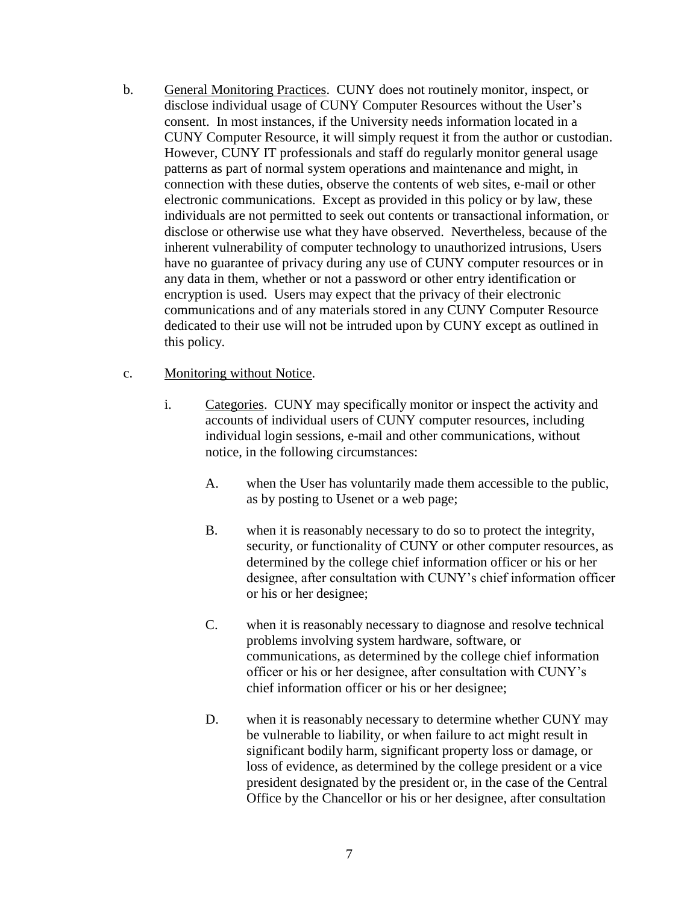b. General Monitoring Practices. CUNY does not routinely monitor, inspect, or disclose individual usage of CUNY Computer Resources without the User's consent. In most instances, if the University needs information located in a CUNY Computer Resource, it will simply request it from the author or custodian. However, CUNY IT professionals and staff do regularly monitor general usage patterns as part of normal system operations and maintenance and might, in connection with these duties, observe the contents of web sites, e-mail or other electronic communications. Except as provided in this policy or by law, these individuals are not permitted to seek out contents or transactional information, or disclose or otherwise use what they have observed. Nevertheless, because of the inherent vulnerability of computer technology to unauthorized intrusions, Users have no guarantee of privacy during any use of CUNY computer resources or in any data in them, whether or not a password or other entry identification or encryption is used. Users may expect that the privacy of their electronic communications and of any materials stored in any CUNY Computer Resource dedicated to their use will not be intruded upon by CUNY except as outlined in this policy.

#### c. Monitoring without Notice.

- i. Categories. CUNY may specifically monitor or inspect the activity and accounts of individual users of CUNY computer resources, including individual login sessions, e-mail and other communications, without notice, in the following circumstances:
	- A. when the User has voluntarily made them accessible to the public, as by posting to Usenet or a web page;
	- B. when it is reasonably necessary to do so to protect the integrity, security, or functionality of CUNY or other computer resources, as determined by the college chief information officer or his or her designee, after consultation with CUNY's chief information officer or his or her designee;
	- C. when it is reasonably necessary to diagnose and resolve technical problems involving system hardware, software, or communications, as determined by the college chief information officer or his or her designee, after consultation with CUNY's chief information officer or his or her designee;
	- D. when it is reasonably necessary to determine whether CUNY may be vulnerable to liability, or when failure to act might result in significant bodily harm, significant property loss or damage, or loss of evidence, as determined by the college president or a vice president designated by the president or, in the case of the Central Office by the Chancellor or his or her designee, after consultation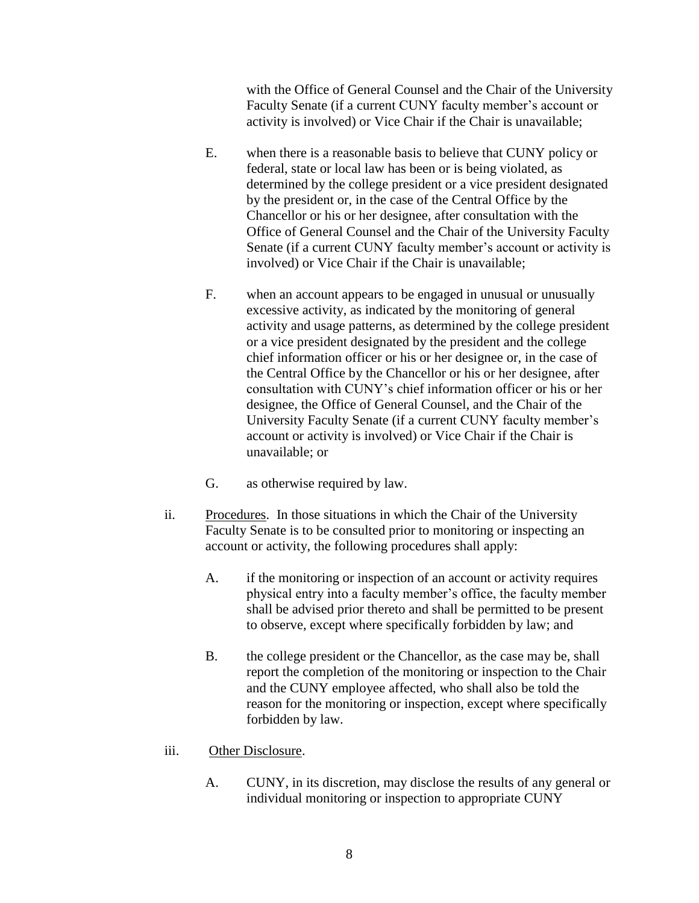with the Office of General Counsel and the Chair of the University Faculty Senate (if a current CUNY faculty member's account or activity is involved) or Vice Chair if the Chair is unavailable;

- E. when there is a reasonable basis to believe that CUNY policy or federal, state or local law has been or is being violated, as determined by the college president or a vice president designated by the president or, in the case of the Central Office by the Chancellor or his or her designee, after consultation with the Office of General Counsel and the Chair of the University Faculty Senate (if a current CUNY faculty member's account or activity is involved) or Vice Chair if the Chair is unavailable;
- F. when an account appears to be engaged in unusual or unusually excessive activity, as indicated by the monitoring of general activity and usage patterns, as determined by the college president or a vice president designated by the president and the college chief information officer or his or her designee or, in the case of the Central Office by the Chancellor or his or her designee, after consultation with CUNY's chief information officer or his or her designee, the Office of General Counsel, and the Chair of the University Faculty Senate (if a current CUNY faculty member's account or activity is involved) or Vice Chair if the Chair is unavailable; or
- G. as otherwise required by law.
- ii. Procedures. In those situations in which the Chair of the University Faculty Senate is to be consulted prior to monitoring or inspecting an account or activity, the following procedures shall apply:
	- A. if the monitoring or inspection of an account or activity requires physical entry into a faculty member's office, the faculty member shall be advised prior thereto and shall be permitted to be present to observe, except where specifically forbidden by law; and
	- B. the college president or the Chancellor, as the case may be, shall report the completion of the monitoring or inspection to the Chair and the CUNY employee affected, who shall also be told the reason for the monitoring or inspection, except where specifically forbidden by law.
- iii. Other Disclosure.
	- A. CUNY, in its discretion, may disclose the results of any general or individual monitoring or inspection to appropriate CUNY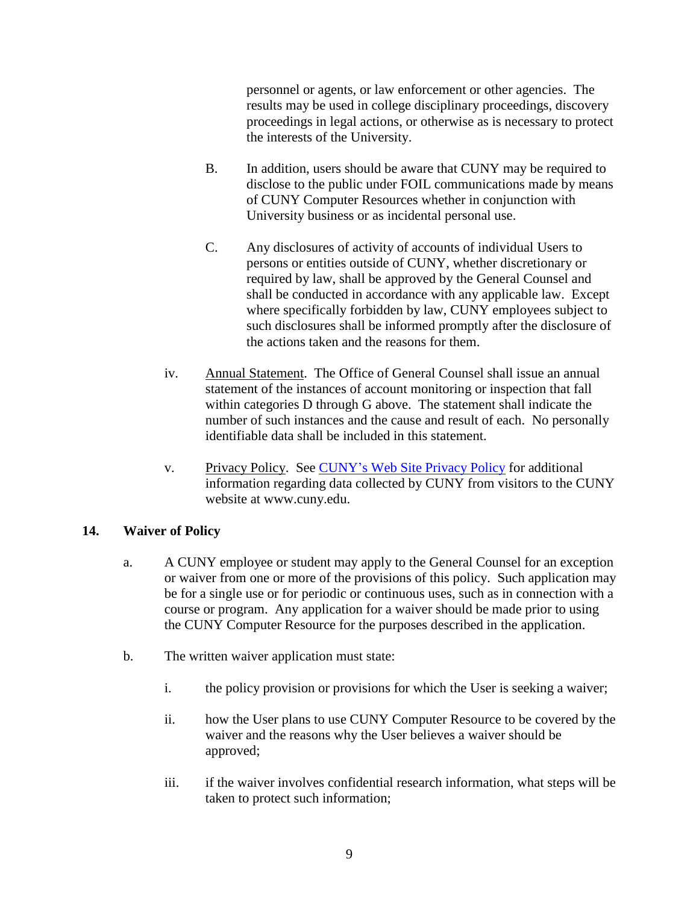personnel or agents, or law enforcement or other agencies. The results may be used in college disciplinary proceedings, discovery proceedings in legal actions, or otherwise as is necessary to protect the interests of the University.

- B. In addition, users should be aware that CUNY may be required to disclose to the public under FOIL communications made by means of CUNY Computer Resources whether in conjunction with University business or as incidental personal use.
- C. Any disclosures of activity of accounts of individual Users to persons or entities outside of CUNY, whether discretionary or required by law, shall be approved by the General Counsel and shall be conducted in accordance with any applicable law. Except where specifically forbidden by law, CUNY employees subject to such disclosures shall be informed promptly after the disclosure of the actions taken and the reasons for them.
- iv. Annual Statement. The Office of General Counsel shall issue an annual statement of the instances of account monitoring or inspection that fall within categories D through G above. The statement shall indicate the number of such instances and the cause and result of each. No personally identifiable data shall be included in this statement.
- v. Privacy Policy. See [CUNY's Web Site Privacy Policy](http://www.cuny.edu/website/privacy.html) for additional information regarding data collected by CUNY from visitors to the CUNY website at www.cuny.edu.

### **14. Waiver of Policy**

- a. A CUNY employee or student may apply to the General Counsel for an exception or waiver from one or more of the provisions of this policy. Such application may be for a single use or for periodic or continuous uses, such as in connection with a course or program. Any application for a waiver should be made prior to using the CUNY Computer Resource for the purposes described in the application.
- b. The written waiver application must state:
	- i. the policy provision or provisions for which the User is seeking a waiver;
	- ii. how the User plans to use CUNY Computer Resource to be covered by the waiver and the reasons why the User believes a waiver should be approved;
	- iii. if the waiver involves confidential research information, what steps will be taken to protect such information;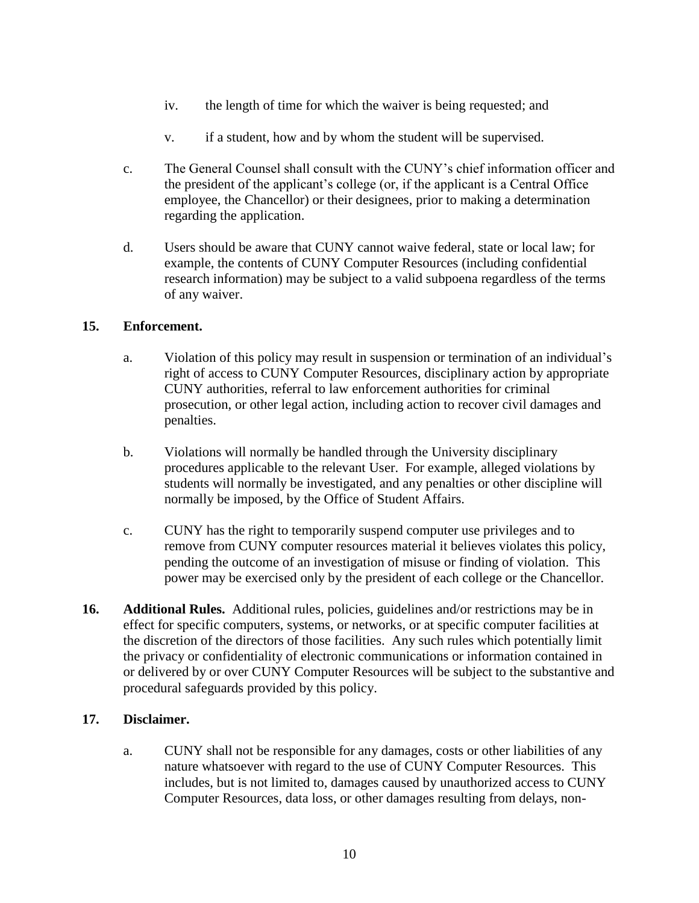- iv. the length of time for which the waiver is being requested; and
- v. if a student, how and by whom the student will be supervised.
- c. The General Counsel shall consult with the CUNY's chief information officer and the president of the applicant's college (or, if the applicant is a Central Office employee, the Chancellor) or their designees, prior to making a determination regarding the application.
- d. Users should be aware that CUNY cannot waive federal, state or local law; for example, the contents of CUNY Computer Resources (including confidential research information) may be subject to a valid subpoena regardless of the terms of any waiver.

#### **15. Enforcement.**

- a. Violation of this policy may result in suspension or termination of an individual's right of access to CUNY Computer Resources, disciplinary action by appropriate CUNY authorities, referral to law enforcement authorities for criminal prosecution, or other legal action, including action to recover civil damages and penalties.
- b. Violations will normally be handled through the University disciplinary procedures applicable to the relevant User. For example, alleged violations by students will normally be investigated, and any penalties or other discipline will normally be imposed, by the Office of Student Affairs.
- c. CUNY has the right to temporarily suspend computer use privileges and to remove from CUNY computer resources material it believes violates this policy, pending the outcome of an investigation of misuse or finding of violation. This power may be exercised only by the president of each college or the Chancellor.
- **16. Additional Rules.** Additional rules, policies, guidelines and/or restrictions may be in effect for specific computers, systems, or networks, or at specific computer facilities at the discretion of the directors of those facilities. Any such rules which potentially limit the privacy or confidentiality of electronic communications or information contained in or delivered by or over CUNY Computer Resources will be subject to the substantive and procedural safeguards provided by this policy.

#### **17. Disclaimer.**

a. CUNY shall not be responsible for any damages, costs or other liabilities of any nature whatsoever with regard to the use of CUNY Computer Resources. This includes, but is not limited to, damages caused by unauthorized access to CUNY Computer Resources, data loss, or other damages resulting from delays, non